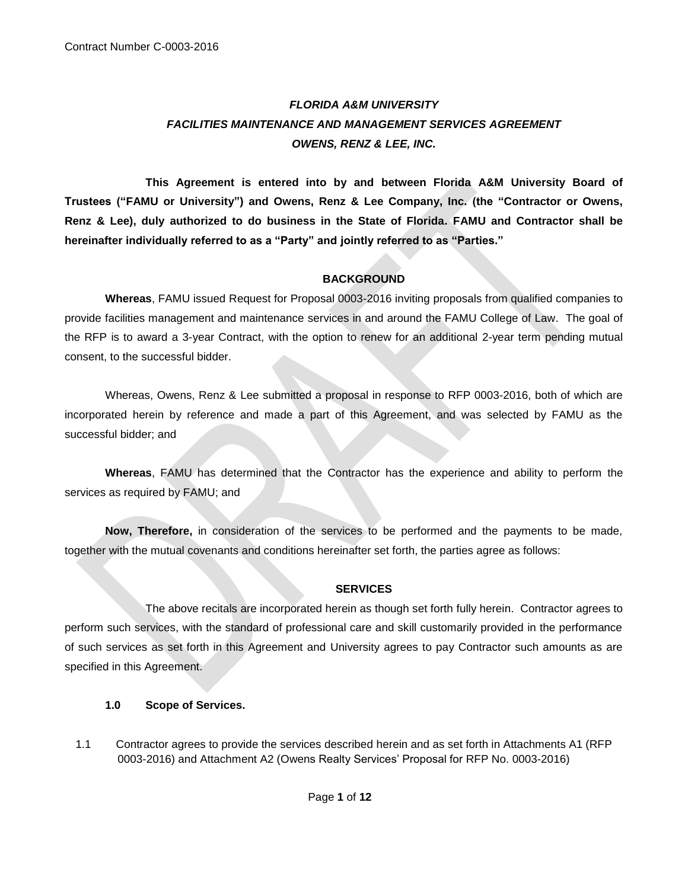# *FLORIDA A&M UNIVERSITY FACILITIES MAINTENANCE AND MANAGEMENT SERVICES AGREEMENT OWENS, RENZ & LEE, INC.*

**This Agreement is entered into by and between Florida A&M University Board of Trustees ("FAMU or University") and Owens, Renz & Lee Company, Inc. (the "Contractor or Owens, Renz & Lee), duly authorized to do business in the State of Florida. FAMU and Contractor shall be hereinafter individually referred to as a "Party" and jointly referred to as "Parties."**

# **BACKGROUND**

**Whereas**, FAMU issued Request for Proposal 0003-2016 inviting proposals from qualified companies to provide facilities management and maintenance services in and around the FAMU College of Law. The goal of the RFP is to award a 3-year Contract, with the option to renew for an additional 2-year term pending mutual consent, to the successful bidder.

Whereas, Owens, Renz & Lee submitted a proposal in response to RFP 0003-2016, both of which are incorporated herein by reference and made a part of this Agreement, and was selected by FAMU as the successful bidder; and

**Whereas**, FAMU has determined that the Contractor has the experience and ability to perform the services as required by FAMU; and

**Now, Therefore,** in consideration of the services to be performed and the payments to be made, together with the mutual covenants and conditions hereinafter set forth, the parties agree as follows:

## **SERVICES**

The above recitals are incorporated herein as though set forth fully herein. Contractor agrees to perform such services, with the standard of professional care and skill customarily provided in the performance of such services as set forth in this Agreement and University agrees to pay Contractor such amounts as are specified in this Agreement.

## **1.0 Scope of Services.**

1.1 Contractor agrees to provide the services described herein and as set forth in Attachments A1 (RFP 0003-2016) and Attachment A2 (Owens Realty Services' Proposal for RFP No. 0003-2016)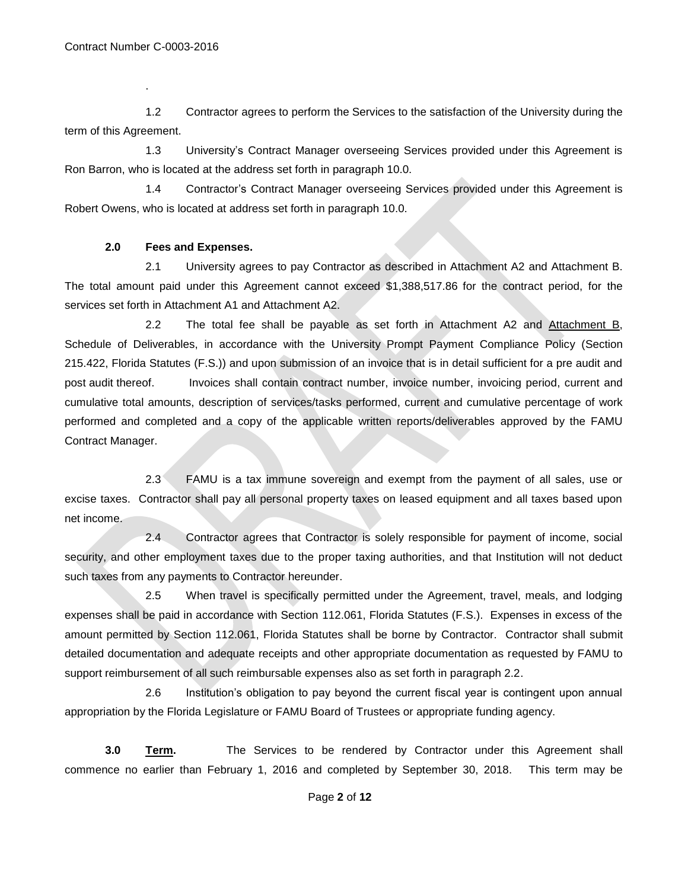.

 1.2 Contractor agrees to perform the Services to the satisfaction of the University during the term of this Agreement.

1.3 University's Contract Manager overseeing Services provided under this Agreement is Ron Barron, who is located at the address set forth in paragraph 10.0.

1.4 Contractor's Contract Manager overseeing Services provided under this Agreement is Robert Owens, who is located at address set forth in paragraph 10.0.

# **2.0 Fees and Expenses.**

2.1 University agrees to pay Contractor as described in Attachment A2 and Attachment B. The total amount paid under this Agreement cannot exceed \$1,388,517.86 for the contract period, for the services set forth in Attachment A1 and Attachment A2.

2.2 The total fee shall be payable as set forth in Attachment A2 and Attachment B, Schedule of Deliverables, in accordance with the University Prompt Payment Compliance Policy (Section 215.422, Florida Statutes (F.S.)) and upon submission of an invoice that is in detail sufficient for a pre audit and post audit thereof. Invoices shall contain contract number, invoice number, invoicing period, current and cumulative total amounts, description of services/tasks performed, current and cumulative percentage of work performed and completed and a copy of the applicable written reports/deliverables approved by the FAMU Contract Manager.

2.3 FAMU is a tax immune sovereign and exempt from the payment of all sales, use or excise taxes. Contractor shall pay all personal property taxes on leased equipment and all taxes based upon net income.

2.4 Contractor agrees that Contractor is solely responsible for payment of income, social security, and other employment taxes due to the proper taxing authorities, and that Institution will not deduct such taxes from any payments to Contractor hereunder.

2.5 When travel is specifically permitted under the Agreement, travel, meals, and lodging expenses shall be paid in accordance with Section 112.061, Florida Statutes (F.S.). Expenses in excess of the amount permitted by Section 112.061, Florida Statutes shall be borne by Contractor. Contractor shall submit detailed documentation and adequate receipts and other appropriate documentation as requested by FAMU to support reimbursement of all such reimbursable expenses also as set forth in paragraph 2.2.

2.6 Institution's obligation to pay beyond the current fiscal year is contingent upon annual appropriation by the Florida Legislature or FAMU Board of Trustees or appropriate funding agency.

**3.0 <b>Term.** The Services to be rendered by Contractor under this Agreement shall commence no earlier than February 1, 2016 and completed by September 30, 2018. This term may be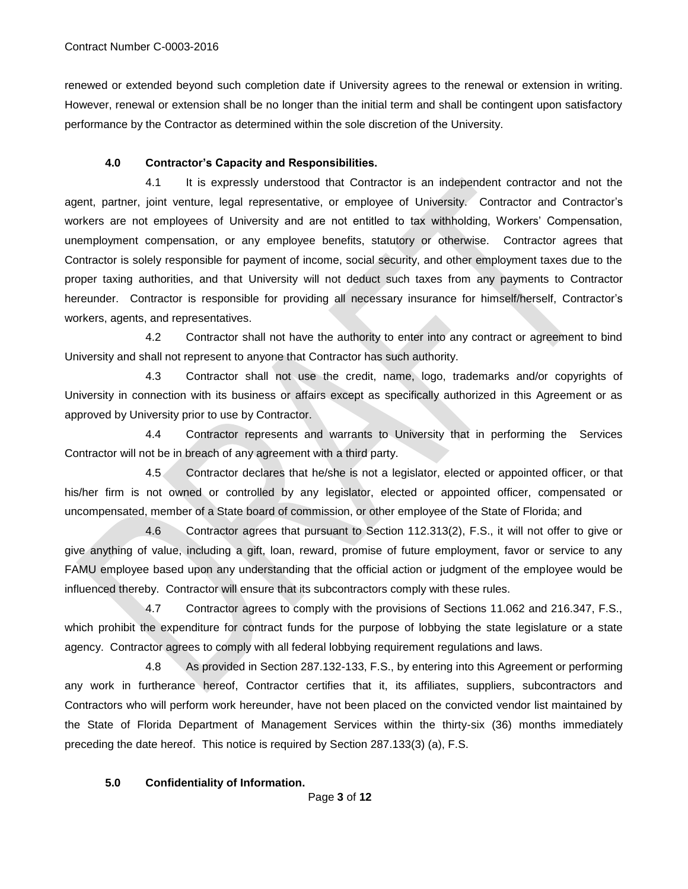renewed or extended beyond such completion date if University agrees to the renewal or extension in writing. However, renewal or extension shall be no longer than the initial term and shall be contingent upon satisfactory performance by the Contractor as determined within the sole discretion of the University.

#### **4.0 Contractor's Capacity and Responsibilities.**

4.1 It is expressly understood that Contractor is an independent contractor and not the agent, partner, joint venture, legal representative, or employee of University. Contractor and Contractor's workers are not employees of University and are not entitled to tax withholding, Workers' Compensation, unemployment compensation, or any employee benefits, statutory or otherwise. Contractor agrees that Contractor is solely responsible for payment of income, social security, and other employment taxes due to the proper taxing authorities, and that University will not deduct such taxes from any payments to Contractor hereunder. Contractor is responsible for providing all necessary insurance for himself/herself, Contractor's workers, agents, and representatives.

4.2 Contractor shall not have the authority to enter into any contract or agreement to bind University and shall not represent to anyone that Contractor has such authority.

4.3 Contractor shall not use the credit, name, logo, trademarks and/or copyrights of University in connection with its business or affairs except as specifically authorized in this Agreement or as approved by University prior to use by Contractor.

4.4 Contractor represents and warrants to University that in performing the Services Contractor will not be in breach of any agreement with a third party.

4.5 Contractor declares that he/she is not a legislator, elected or appointed officer, or that his/her firm is not owned or controlled by any legislator, elected or appointed officer, compensated or uncompensated, member of a State board of commission, or other employee of the State of Florida; and

4.6 Contractor agrees that pursuant to Section 112.313(2), F.S., it will not offer to give or give anything of value, including a gift, loan, reward, promise of future employment, favor or service to any FAMU employee based upon any understanding that the official action or judgment of the employee would be influenced thereby. Contractor will ensure that its subcontractors comply with these rules.

4.7 Contractor agrees to comply with the provisions of Sections 11.062 and 216.347, F.S., which prohibit the expenditure for contract funds for the purpose of lobbying the state legislature or a state agency. Contractor agrees to comply with all federal lobbying requirement regulations and laws.

4.8 As provided in Section 287.132-133, F.S., by entering into this Agreement or performing any work in furtherance hereof, Contractor certifies that it, its affiliates, suppliers, subcontractors and Contractors who will perform work hereunder, have not been placed on the convicted vendor list maintained by the State of Florida Department of Management Services within the thirty-six (36) months immediately preceding the date hereof. This notice is required by Section 287.133(3) (a), F.S.

#### **5.0 Confidentiality of Information.**

Page **3** of **12**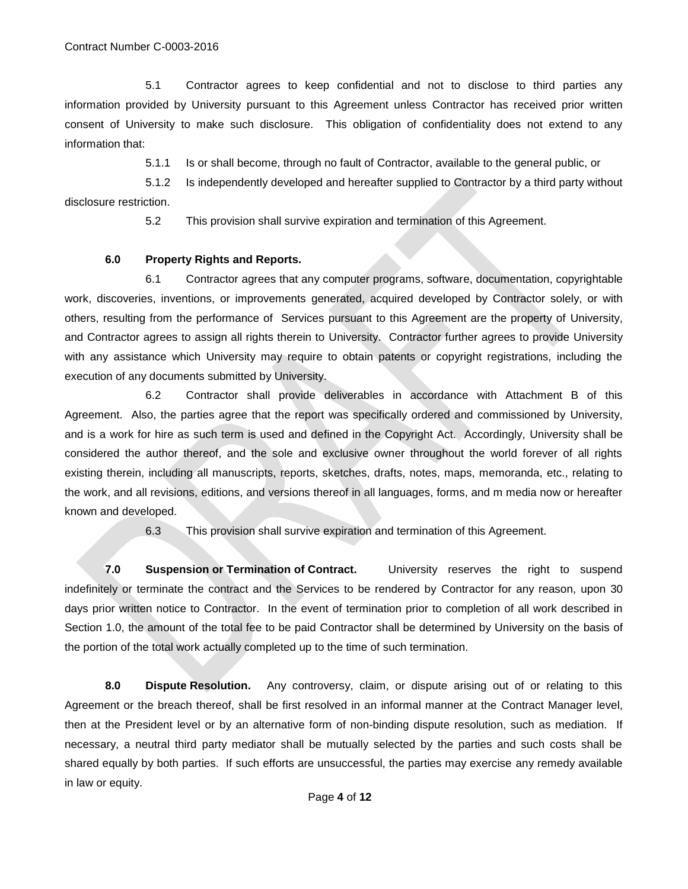5.1 Contractor agrees to keep confidential and not to disclose to third parties any information provided by University pursuant to this Agreement unless Contractor has received prior written consent of University to make such disclosure. This obligation of confidentiality does not extend to any information that:

5.1.1 Is or shall become, through no fault of Contractor, available to the general public, or

5.1.2 Is independently developed and hereafter supplied to Contractor by a third party without disclosure restriction.

5.2 This provision shall survive expiration and termination of this Agreement.

## **6.0 Property Rights and Reports.**

6.1 Contractor agrees that any computer programs, software, documentation, copyrightable work, discoveries, inventions, or improvements generated, acquired developed by Contractor solely, or with others, resulting from the performance of Services pursuant to this Agreement are the property of University, and Contractor agrees to assign all rights therein to University. Contractor further agrees to provide University with any assistance which University may require to obtain patents or copyright registrations, including the execution of any documents submitted by University.

6.2 Contractor shall provide deliverables in accordance with Attachment B of this Agreement. Also, the parties agree that the report was specifically ordered and commissioned by University, and is a work for hire as such term is used and defined in the Copyright Act. Accordingly, University shall be considered the author thereof, and the sole and exclusive owner throughout the world forever of all rights existing therein, including all manuscripts, reports, sketches, drafts, notes, maps, memoranda, etc., relating to the work, and all revisions, editions, and versions thereof in all languages, forms, and m media now or hereafter known and developed.

6.3 This provision shall survive expiration and termination of this Agreement.

**7.0 Suspension or Termination of Contract.** University reserves the right to suspend indefinitely or terminate the contract and the Services to be rendered by Contractor for any reason, upon 30 days prior written notice to Contractor. In the event of termination prior to completion of all work described in Section 1.0, the amount of the total fee to be paid Contractor shall be determined by University on the basis of the portion of the total work actually completed up to the time of such termination.

**8.0 Dispute Resolution.** Any controversy, claim, or dispute arising out of or relating to this Agreement or the breach thereof, shall be first resolved in an informal manner at the Contract Manager level, then at the President level or by an alternative form of non-binding dispute resolution, such as mediation. If necessary, a neutral third party mediator shall be mutually selected by the parties and such costs shall be shared equally by both parties. If such efforts are unsuccessful, the parties may exercise any remedy available in law or equity.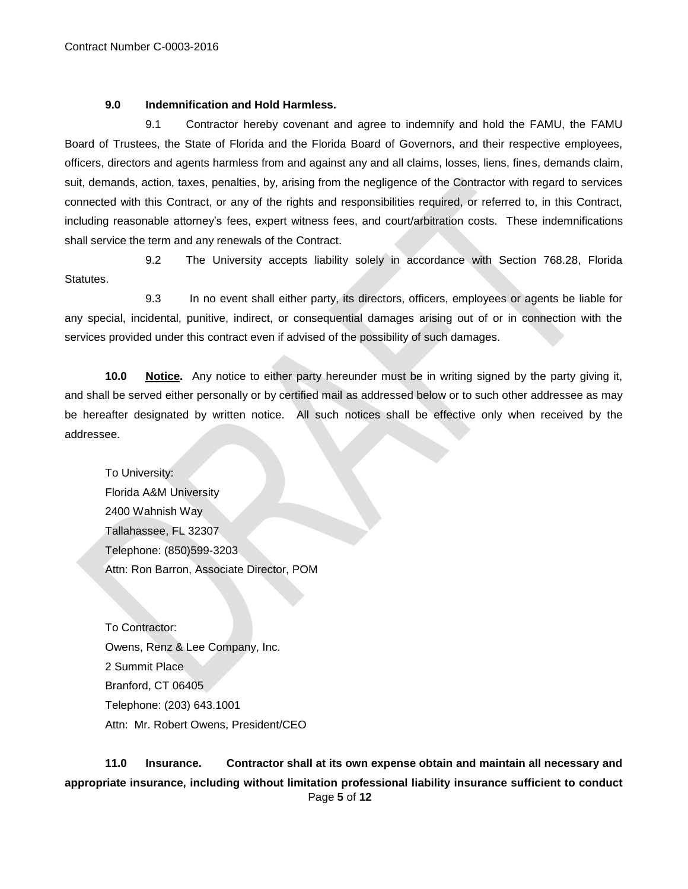#### **9.0 Indemnification and Hold Harmless.**

9.1 Contractor hereby covenant and agree to indemnify and hold the FAMU, the FAMU Board of Trustees, the State of Florida and the Florida Board of Governors, and their respective employees, officers, directors and agents harmless from and against any and all claims, losses, liens, fines, demands claim, suit, demands, action, taxes, penalties, by, arising from the negligence of the Contractor with regard to services connected with this Contract, or any of the rights and responsibilities required, or referred to, in this Contract, including reasonable attorney's fees, expert witness fees, and court/arbitration costs. These indemnifications shall service the term and any renewals of the Contract.

9.2 The University accepts liability solely in accordance with Section 768.28, Florida Statutes.

9.3 In no event shall either party, its directors, officers, employees or agents be liable for any special, incidental, punitive, indirect, or consequential damages arising out of or in connection with the services provided under this contract even if advised of the possibility of such damages.

**10.0 Notice.** Any notice to either party hereunder must be in writing signed by the party giving it, and shall be served either personally or by certified mail as addressed below or to such other addressee as may be hereafter designated by written notice. All such notices shall be effective only when received by the addressee.

To University: Florida A&M University 2400 Wahnish Way Tallahassee, FL 32307 Telephone: (850)599-3203 Attn: Ron Barron, Associate Director, POM

To Contractor: Owens, Renz & Lee Company, Inc. 2 Summit Place Branford, CT 06405 Telephone: (203) 643.1001 Attn: Mr. Robert Owens, President/CEO

 Page **5** of **12 11.0 Insurance. Contractor shall at its own expense obtain and maintain all necessary and appropriate insurance, including without limitation professional liability insurance sufficient to conduct**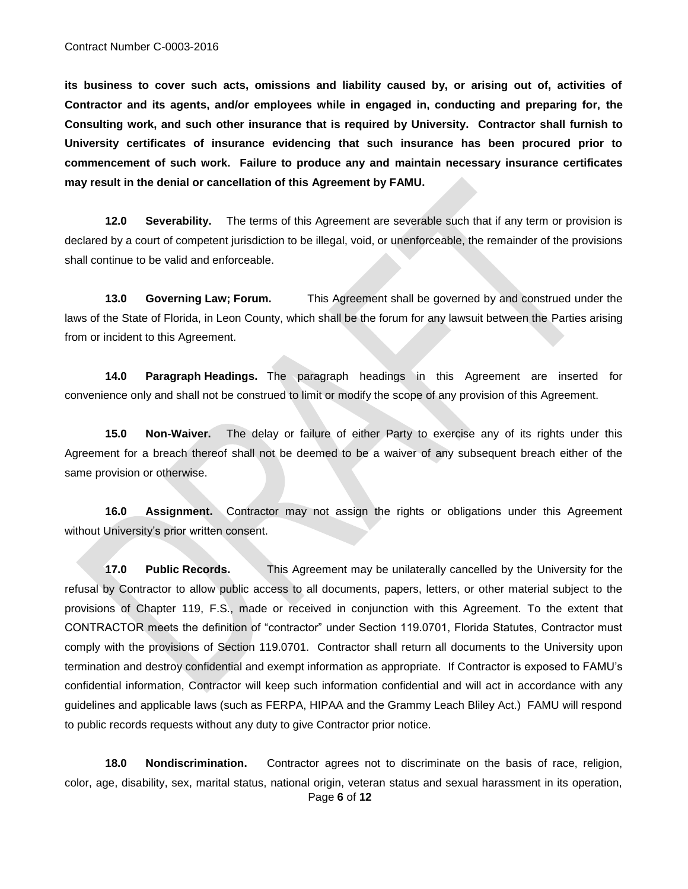**its business to cover such acts, omissions and liability caused by, or arising out of, activities of Contractor and its agents, and/or employees while in engaged in, conducting and preparing for, the Consulting work, and such other insurance that is required by University. Contractor shall furnish to University certificates of insurance evidencing that such insurance has been procured prior to commencement of such work. Failure to produce any and maintain necessary insurance certificates may result in the denial or cancellation of this Agreement by FAMU.**

**12.0 Severability.** The terms of this Agreement are severable such that if any term or provision is declared by a court of competent jurisdiction to be illegal, void, or unenforceable, the remainder of the provisions shall continue to be valid and enforceable.

**13.0 Governing Law; Forum.** This Agreement shall be governed by and construed under the laws of the State of Florida, in Leon County, which shall be the forum for any lawsuit between the Parties arising from or incident to this Agreement.

**14.0 Paragraph Headings.** The paragraph headings in this Agreement are inserted for convenience only and shall not be construed to limit or modify the scope of any provision of this Agreement.

**15.0 Non-Waiver.** The delay or failure of either Party to exercise any of its rights under this Agreement for a breach thereof shall not be deemed to be a waiver of any subsequent breach either of the same provision or otherwise.

**16.0 Assignment.** Contractor may not assign the rights or obligations under this Agreement without University's prior written consent.

**17.0 Public Records.** This Agreement may be unilaterally cancelled by the University for the refusal by Contractor to allow public access to all documents, papers, letters, or other material subject to the provisions of Chapter 119, F.S., made or received in conjunction with this Agreement. To the extent that CONTRACTOR meets the definition of "contractor" under Section 119.0701, Florida Statutes, Contractor must comply with the provisions of Section 119.0701. Contractor shall return all documents to the University upon termination and destroy confidential and exempt information as appropriate. If Contractor is exposed to FAMU's confidential information, Contractor will keep such information confidential and will act in accordance with any guidelines and applicable laws (such as FERPA, HIPAA and the Grammy Leach Bliley Act.) FAMU will respond to public records requests without any duty to give Contractor prior notice.

 Page **6** of **12 18.0 Nondiscrimination.** Contractor agrees not to discriminate on the basis of race, religion, color, age, disability, sex, marital status, national origin, veteran status and sexual harassment in its operation,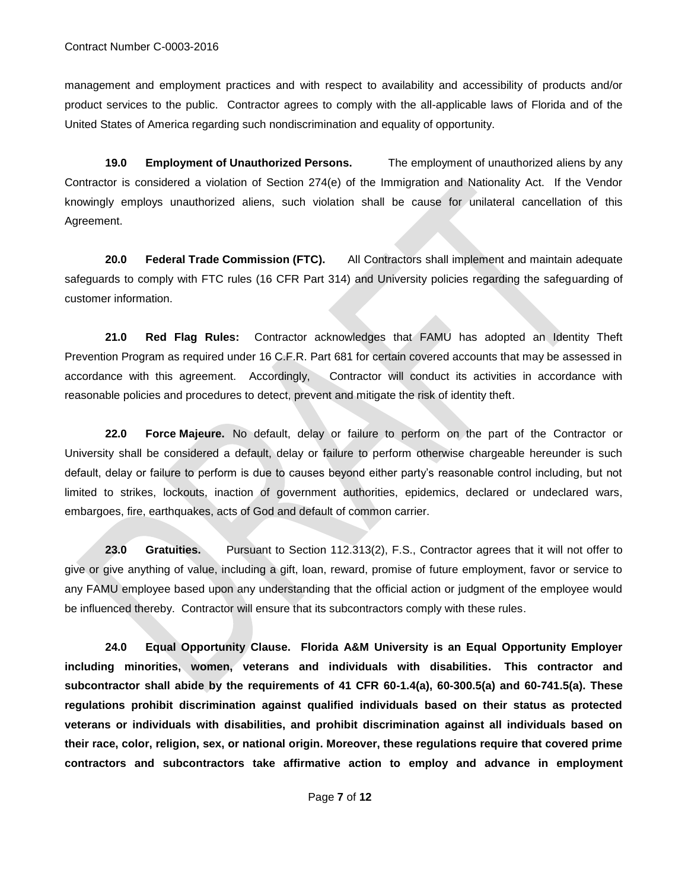management and employment practices and with respect to availability and accessibility of products and/or product services to the public. Contractor agrees to comply with the all-applicable laws of Florida and of the United States of America regarding such nondiscrimination and equality of opportunity.

**19.0 Employment of Unauthorized Persons.** The employment of unauthorized aliens by any Contractor is considered a violation of Section 274(e) of the Immigration and Nationality Act. If the Vendor knowingly employs unauthorized aliens, such violation shall be cause for unilateral cancellation of this Agreement.

**20.0 Federal Trade Commission (FTC).** All Contractors shall implement and maintain adequate safeguards to comply with FTC rules (16 CFR Part 314) and University policies regarding the safeguarding of customer information.

**21.0 Red Flag Rules:** Contractor acknowledges that FAMU has adopted an Identity Theft Prevention Program as required under 16 C.F.R. Part 681 for certain covered accounts that may be assessed in accordance with this agreement. Accordingly, Contractor will conduct its activities in accordance with reasonable policies and procedures to detect, prevent and mitigate the risk of identity theft.

**22.0 Force Majeure.** No default, delay or failure to perform on the part of the Contractor or University shall be considered a default, delay or failure to perform otherwise chargeable hereunder is such default, delay or failure to perform is due to causes beyond either party's reasonable control including, but not limited to strikes, lockouts, inaction of government authorities, epidemics, declared or undeclared wars, embargoes, fire, earthquakes, acts of God and default of common carrier.

23.0 Gratuities. Pursuant to Section 112.313(2), F.S., Contractor agrees that it will not offer to give or give anything of value, including a gift, loan, reward, promise of future employment, favor or service to any FAMU employee based upon any understanding that the official action or judgment of the employee would be influenced thereby. Contractor will ensure that its subcontractors comply with these rules.

**24.0 Equal Opportunity Clause. Florida A&M University is an Equal Opportunity Employer including minorities, women, veterans and individuals with disabilities. This contractor and subcontractor shall abide by the requirements of 41 CFR 60-1.4(a), 60-300.5(a) and 60-741.5(a). These regulations prohibit discrimination against qualified individuals based on their status as protected veterans or individuals with disabilities, and prohibit discrimination against all individuals based on their race, color, religion, sex, or national origin. Moreover, these regulations require that covered prime contractors and subcontractors take affirmative action to employ and advance in employment**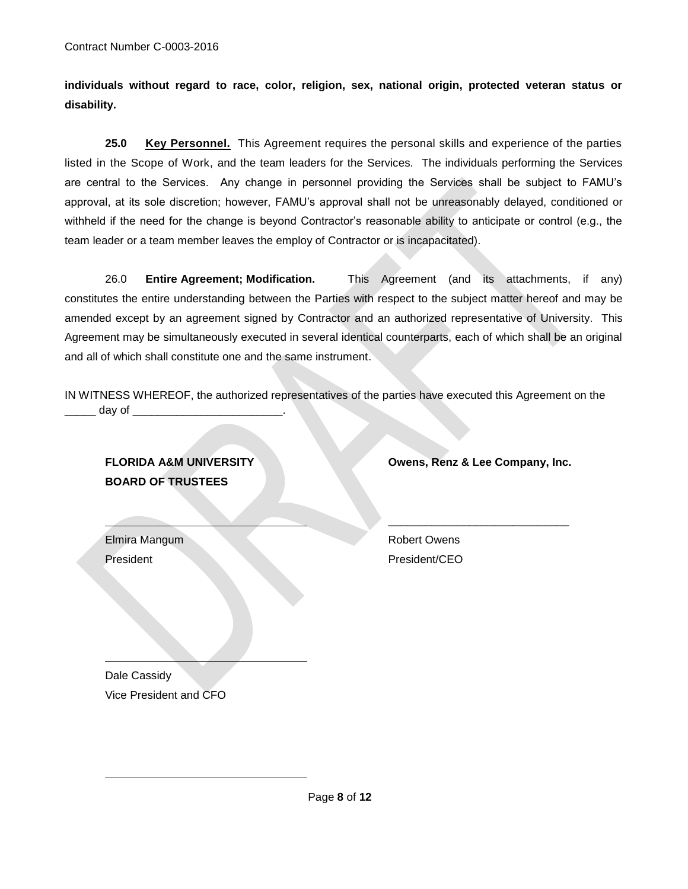**individuals without regard to race, color, religion, sex, national origin, protected veteran status or disability.**

**25.0 Key Personnel.** This Agreement requires the personal skills and experience of the parties listed in the Scope of Work, and the team leaders for the Services. The individuals performing the Services are central to the Services. Any change in personnel providing the Services shall be subject to FAMU's approval, at its sole discretion; however, FAMU's approval shall not be unreasonably delayed, conditioned or withheld if the need for the change is beyond Contractor's reasonable ability to anticipate or control (e.g., the team leader or a team member leaves the employ of Contractor or is incapacitated).

26.0 **Entire Agreement; Modification.** This Agreement (and its attachments, if any) constitutes the entire understanding between the Parties with respect to the subject matter hereof and may be amended except by an agreement signed by Contractor and an authorized representative of University. This Agreement may be simultaneously executed in several identical counterparts, each of which shall be an original and all of which shall constitute one and the same instrument.

IN WITNESS WHEREOF, the authorized representatives of the parties have executed this Agreement on the day of  $\rule{1em}{0.15mm}$ 

**BOARD OF TRUSTEES**

**FLORIDA A&M UNIVERSITY Owens, Renz & Lee Company, Inc.**

\_\_\_\_\_\_\_\_\_\_\_\_\_\_\_\_\_\_\_\_\_\_\_\_\_\_\_\_\_

Elmira Mangum Robert Owens President President President President President President CEO

Dale Cassidy Vice President and CFO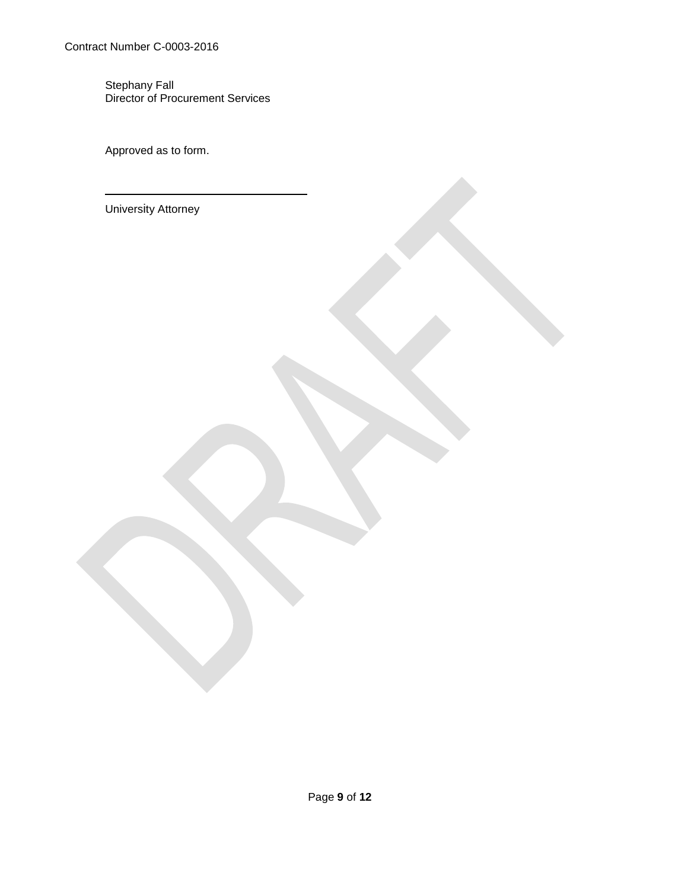Contract Number C-0003-2016

Stephany Fall Director of Procurement Services

Approved as to form.

University Attorney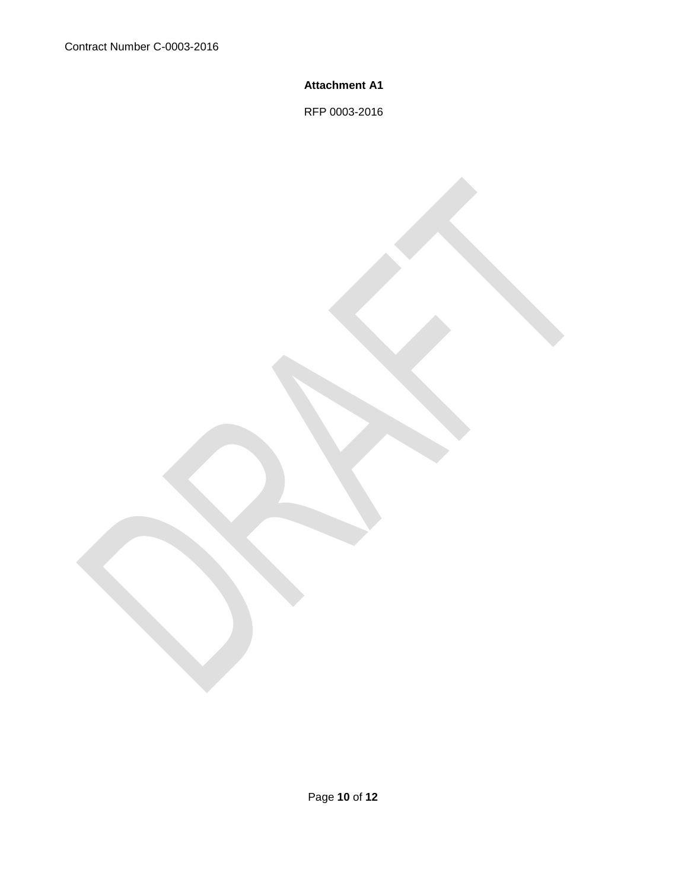## **Attachment A1**

RFP 0003-2016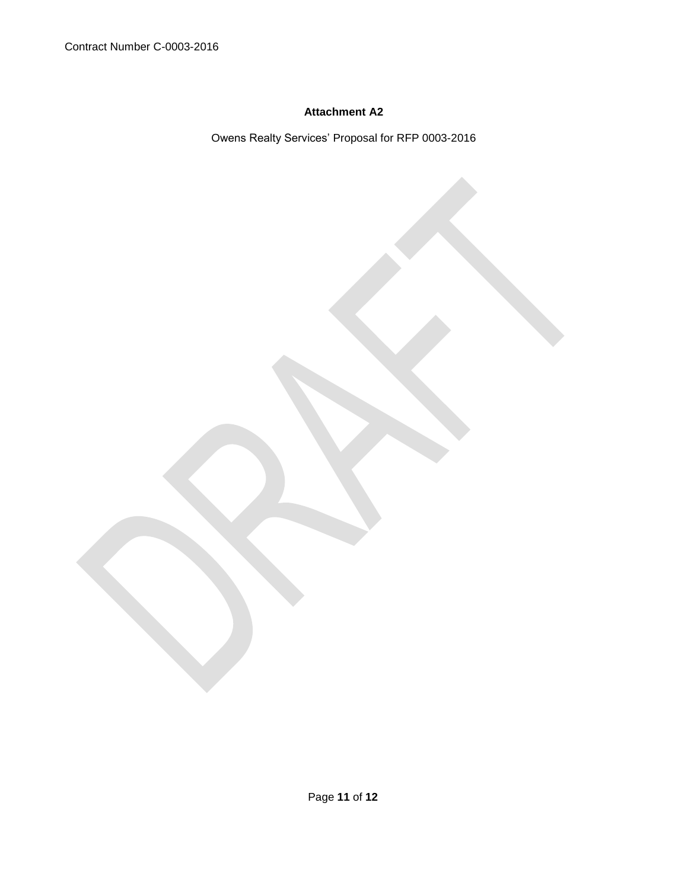## **Attachment A2**

Owens Realty Services' Proposal for RFP 0003-2016